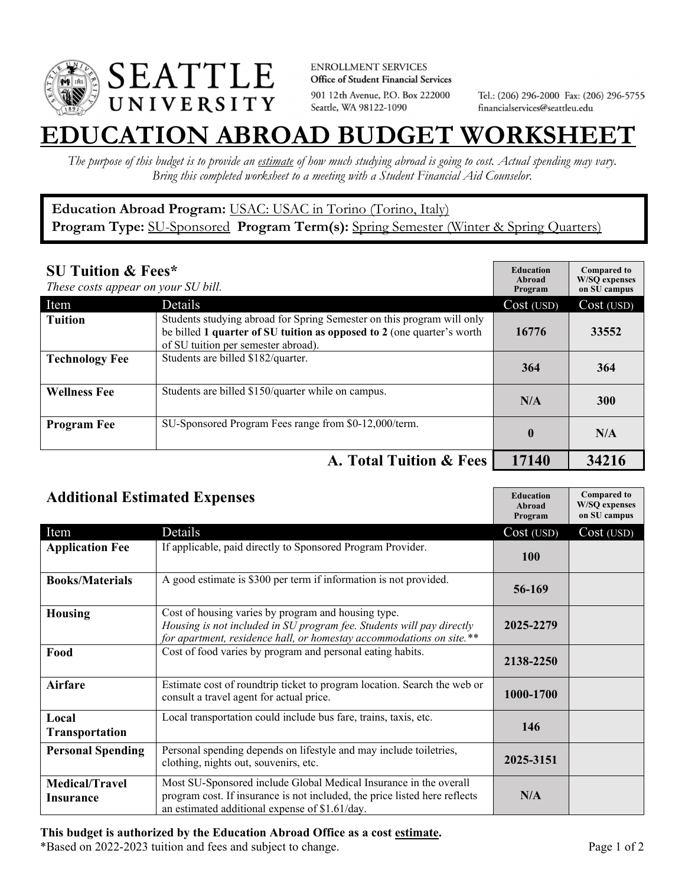

**ENROLLMENT SERVICES** Office of Student Financial Services 901 12th Avenue, P.O. Box 222000 Seattle, WA 98122-1090

Tel.: (206) 296-2000 Fax: (206) 296-5755 financialservices@seattleu.edu

## **EATION ABROAD BUDGET WORKSHEE**

*The purpose of this budget is to provide an estimate of how much studying abroad is going to cost. Actual spending may vary. Bring this completed worksheet to a meeting with a Student Financial Aid Counselor.* 

## **Education Abroad Program:** USAC: USAC in Torino (Torino, Italy) Program Type: **SU-Sponsored** Program Term(s): **Spring Semester** (Winter & Spring Quarters)

| <b>SU Tuition &amp; Fees*</b><br>These costs appear on your SU bill. |                                                                                                                                                                                         | <b>Education</b><br>Abroad<br>Program | <b>Compared to</b><br><b>W/SO</b> expenses<br>on SU campus |
|----------------------------------------------------------------------|-----------------------------------------------------------------------------------------------------------------------------------------------------------------------------------------|---------------------------------------|------------------------------------------------------------|
| Item                                                                 | Details                                                                                                                                                                                 | Cost (USD)                            | Cost (USD)                                                 |
| <b>Tuition</b>                                                       | Students studying abroad for Spring Semester on this program will only<br>be billed 1 quarter of SU tuition as opposed to 2 (one quarter's worth<br>of SU tuition per semester abroad). | 16776                                 | 33552                                                      |
| <b>Technology Fee</b>                                                | Students are billed \$182/quarter.                                                                                                                                                      | 364                                   | 364                                                        |
| <b>Wellness Fee</b>                                                  | Students are billed \$150/quarter while on campus.                                                                                                                                      | N/A                                   | <b>300</b>                                                 |
| <b>Program Fee</b>                                                   | SU-Sponsored Program Fees range from \$0-12,000/term.                                                                                                                                   | $\mathbf{0}$                          | N/A                                                        |
|                                                                      | A. Total Tuition & Fees                                                                                                                                                                 | 17140                                 | 34216                                                      |

| <b>Additional Estimated Expenses</b> |                                                                                                                                                                                                      | <b>Education</b><br>Abroad<br>Program | <b>Compared to</b><br><b>W/SQ</b> expenses<br>on SU campus |
|--------------------------------------|------------------------------------------------------------------------------------------------------------------------------------------------------------------------------------------------------|---------------------------------------|------------------------------------------------------------|
| Item                                 | Details                                                                                                                                                                                              | Cost (USD)                            | Cost (USD)                                                 |
| <b>Application Fee</b>               | If applicable, paid directly to Sponsored Program Provider.                                                                                                                                          | 100                                   |                                                            |
| <b>Books/Materials</b>               | A good estimate is \$300 per term if information is not provided.                                                                                                                                    | 56-169                                |                                                            |
| <b>Housing</b>                       | Cost of housing varies by program and housing type.<br>Housing is not included in SU program fee. Students will pay directly<br>for apartment, residence hall, or homestay accommodations on site.** | 2025-2279                             |                                                            |
| Food                                 | Cost of food varies by program and personal eating habits.                                                                                                                                           | 2138-2250                             |                                                            |
| Airfare                              | Estimate cost of roundtrip ticket to program location. Search the web or<br>consult a travel agent for actual price.                                                                                 | 1000-1700                             |                                                            |
| Local<br><b>Transportation</b>       | Local transportation could include bus fare, trains, taxis, etc.                                                                                                                                     | 146                                   |                                                            |
| <b>Personal Spending</b>             | Personal spending depends on lifestyle and may include toiletries,<br>clothing, nights out, souvenirs, etc.                                                                                          | 2025-3151                             |                                                            |
| <b>Medical/Travel</b><br>Insurance   | Most SU-Sponsored include Global Medical Insurance in the overall<br>program cost. If insurance is not included, the price listed here reflects<br>an estimated additional expense of \$1.61/day.    | N/A                                   |                                                            |

## **This budget is authorized by the Education Abroad Office as a cost estimate.**

\*Based on 2022-2023 tuition and fees and subject to change. Page 1 of 2